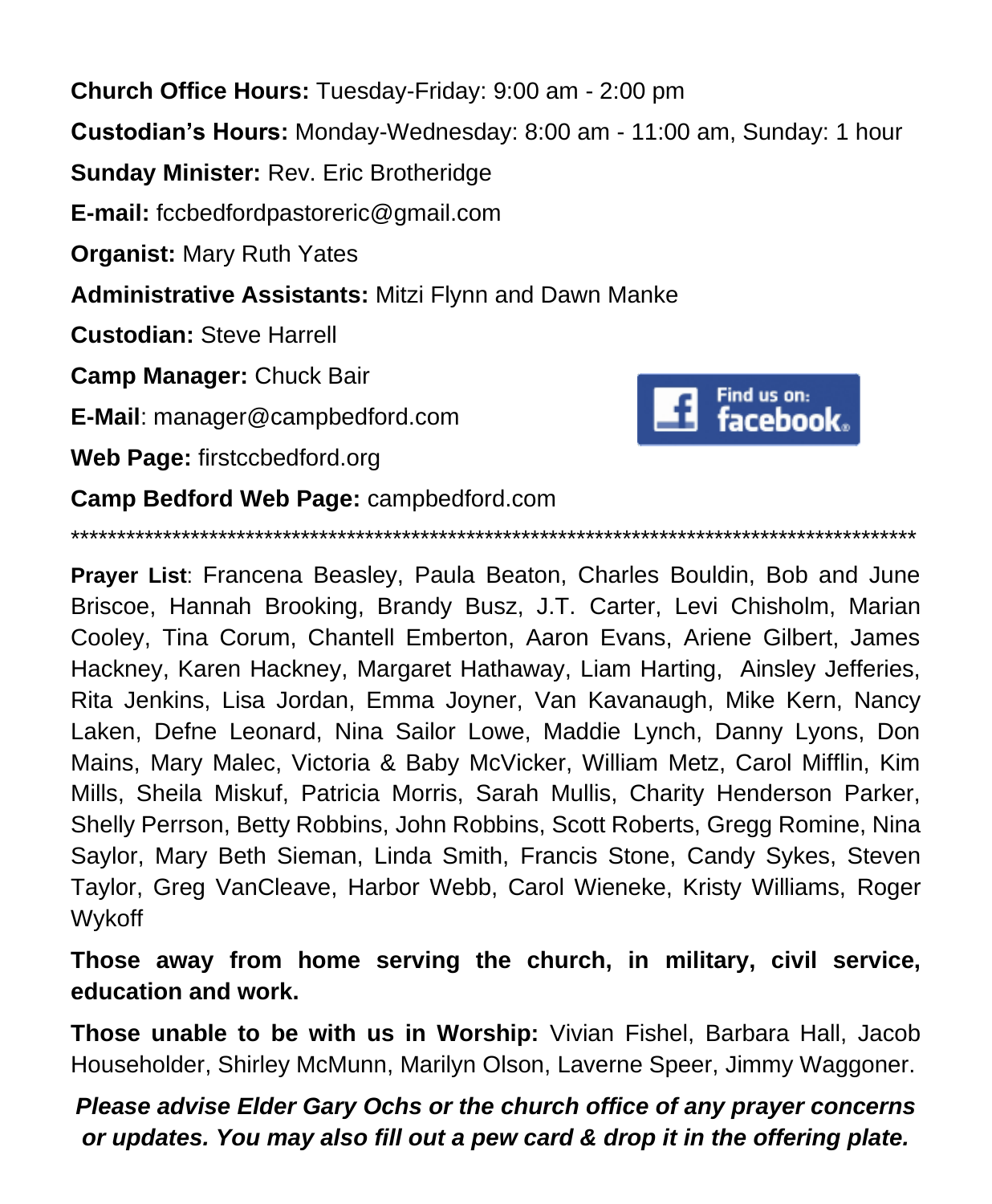**Church Office Hours:** Tuesday-Friday: 9:00 am - 2:00 pm **Custodian's Hours:** Monday-Wednesday: 8:00 am - 11:00 am, Sunday: 1 hour **Sunday Minister:** Rev. Eric Brotheridge **E-mail:** fccbedfordpastoreric@gmail.com **Organist:** Mary Ruth Yates **Administrative Assistants:** Mitzi Flynn and Dawn Manke **Custodian:** Steve Harrell **Camp Manager:** Chuck Bair Find us on: facebook. **E-Mail**: manager@campbedford.com **Web Page:** firstccbedford.org **Camp Bedford Web Page:** campbedford.com

\*\*\*\*\*\*\*\*\*\*\*\*\*\*\*\*\*\*\*\*\*\*\*\*\*\*\*\*\*\*\*\*\*\*\*\*\*\*\*\*\*\*\*\*\*\*\*\*\*\*\*\*\*\*\*\*\*\*\*\*\*\*\*\*\*\*\*\*\*\*\*\*\*\*\*\*\*\*\*\*\*\*\*\*\*\*\*\*\*\*\*\*

**Prayer List**: Francena Beasley, Paula Beaton, Charles Bouldin, Bob and June Briscoe, Hannah Brooking, Brandy Busz, J.T. Carter, Levi Chisholm, Marian Cooley, Tina Corum, Chantell Emberton, Aaron Evans, Ariene Gilbert, James Hackney, Karen Hackney, Margaret Hathaway, Liam Harting, Ainsley Jefferies, Rita Jenkins, Lisa Jordan, Emma Joyner, Van Kavanaugh, Mike Kern, Nancy Laken, Defne Leonard, Nina Sailor Lowe, Maddie Lynch, Danny Lyons, Don Mains, Mary Malec, Victoria & Baby McVicker, William Metz, Carol Mifflin, Kim Mills, Sheila Miskuf, Patricia Morris, Sarah Mullis, Charity Henderson Parker, Shelly Perrson, Betty Robbins, John Robbins, Scott Roberts, Gregg Romine, Nina Saylor, Mary Beth Sieman, Linda Smith, Francis Stone, Candy Sykes, Steven Taylor, Greg VanCleave, Harbor Webb, Carol Wieneke, Kristy Williams, Roger Wykoff

**Those away from home serving the church, in military, civil service, education and work.**

**Those unable to be with us in Worship:** Vivian Fishel, Barbara Hall, Jacob Householder, Shirley McMunn, Marilyn Olson, Laverne Speer, Jimmy Waggoner.

*Please advise Elder Gary Ochs or the church office of any prayer concerns or updates. You may also fill out a pew card & drop it in the offering plate.*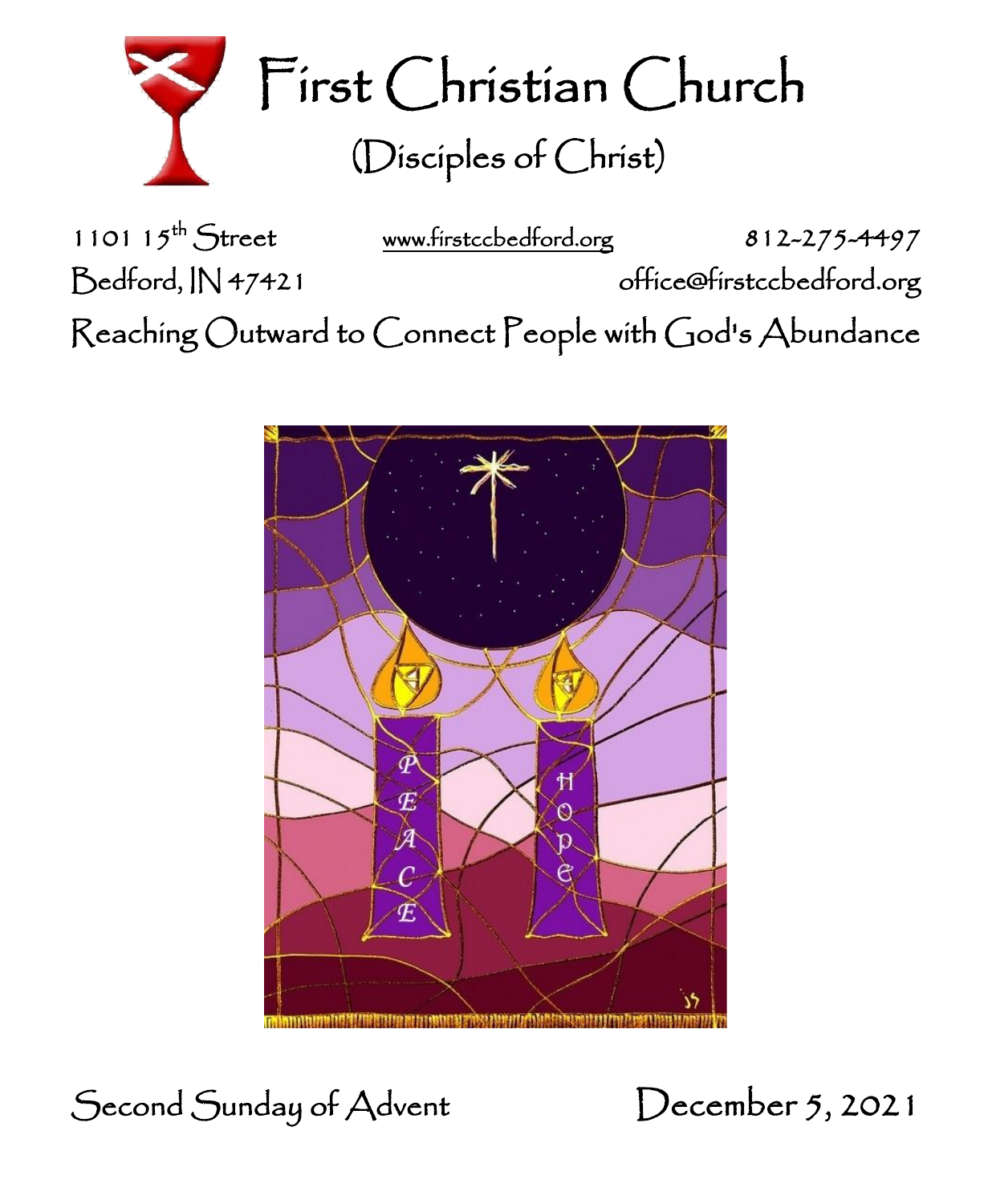

First Christian Church (Disciples of Christ)

1101 15<sup>th</sup> Street [www.firstccbedford.org](http://www.firstccbedford.org/) 812-275-4497 Bedford, IN 47421 office@firstccbedford.org l  $\sf Reaching~Outward$  to  $\sf C$ onnect  $\sf P$ eople with  $\sf C$ od's  $\sf Abundance$ 



Second Sunday of Advent December 5, 2021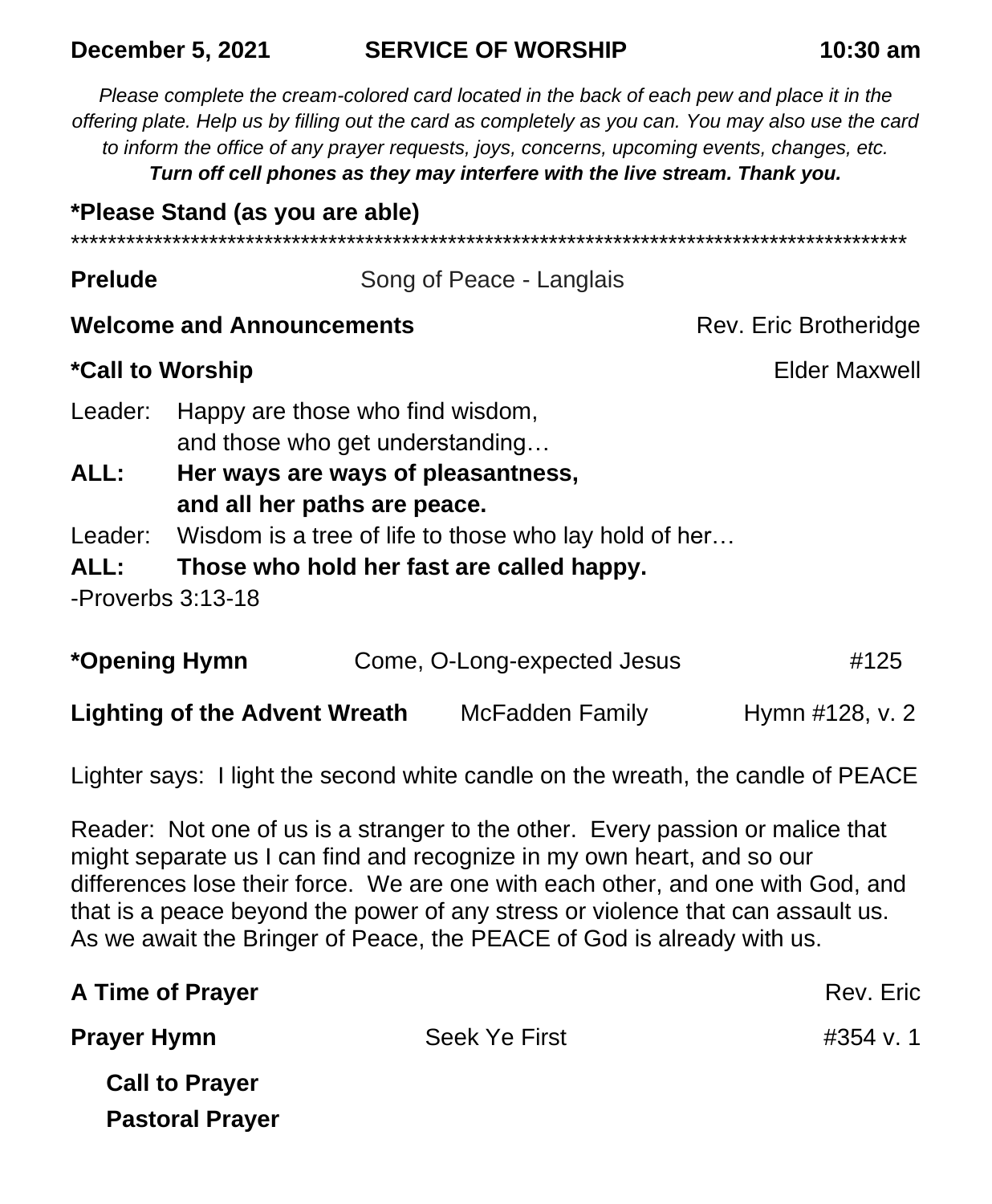#### **December 5, 2021 SERVICE OF WORSHIP 10:30 am**

*Please complete the cream-colored card located in the back of each pew and place it in the offering plate. Help us by filling out the card as completely as you can. You may also use the card to inform the office of any prayer requests, joys, concerns, upcoming events, changes, etc. Turn off cell phones as they may interfere with the live stream. Thank you.* **\*Please Stand (as you are able)** \*\*\*\*\*\*\*\*\*\*\*\*\*\*\*\*\*\*\*\*\*\*\*\*\*\*\*\*\*\*\*\*\*\*\*\*\*\*\*\*\*\*\*\*\*\*\*\*\*\*\*\*\*\*\*\*\*\*\*\*\*\*\*\*\*\*\*\*\*\*\*\*\*\*\*\*\*\*\*\*\*\*\*\*\*\*\*\*\*\*\* **Prelude Song of Peace - Langlais Welcome and Announcements Rev. Eric Brotheridge** Rev. Eric Brotheridge \*Call to Worship **Elder Maxwell** Leader: Happy are those who find wisdom, and those who get understanding… **ALL: Her ways are ways of pleasantness, and all her paths are peace.** Leader: Wisdom is a tree of life to those who lay hold of her… **ALL: Those who hold her fast are called happy.** -Proverbs 3:13-18

| *Opening Hymn                        | Come, O-Long-expected Jesus |                 | #125 |  |
|--------------------------------------|-----------------------------|-----------------|------|--|
| <b>Lighting of the Advent Wreath</b> | McFadden Family             | Hymn #128, v. 2 |      |  |

Lighter says: I light the second white candle on the wreath, the candle of PEACE

Reader: Not one of us is a stranger to the other. Every passion or malice that might separate us I can find and recognize in my own heart, and so our differences lose their force. We are one with each other, and one with God, and that is a peace beyond the power of any stress or violence that can assault us. As we await the Bringer of Peace, the PEACE of God is already with us.

| A Time of Prayer       |                      | Rev. Eric |
|------------------------|----------------------|-----------|
| <b>Prayer Hymn</b>     | <b>Seek Ye First</b> | #354 v. 1 |
| <b>Call to Prayer</b>  |                      |           |
| <b>Pastoral Prayer</b> |                      |           |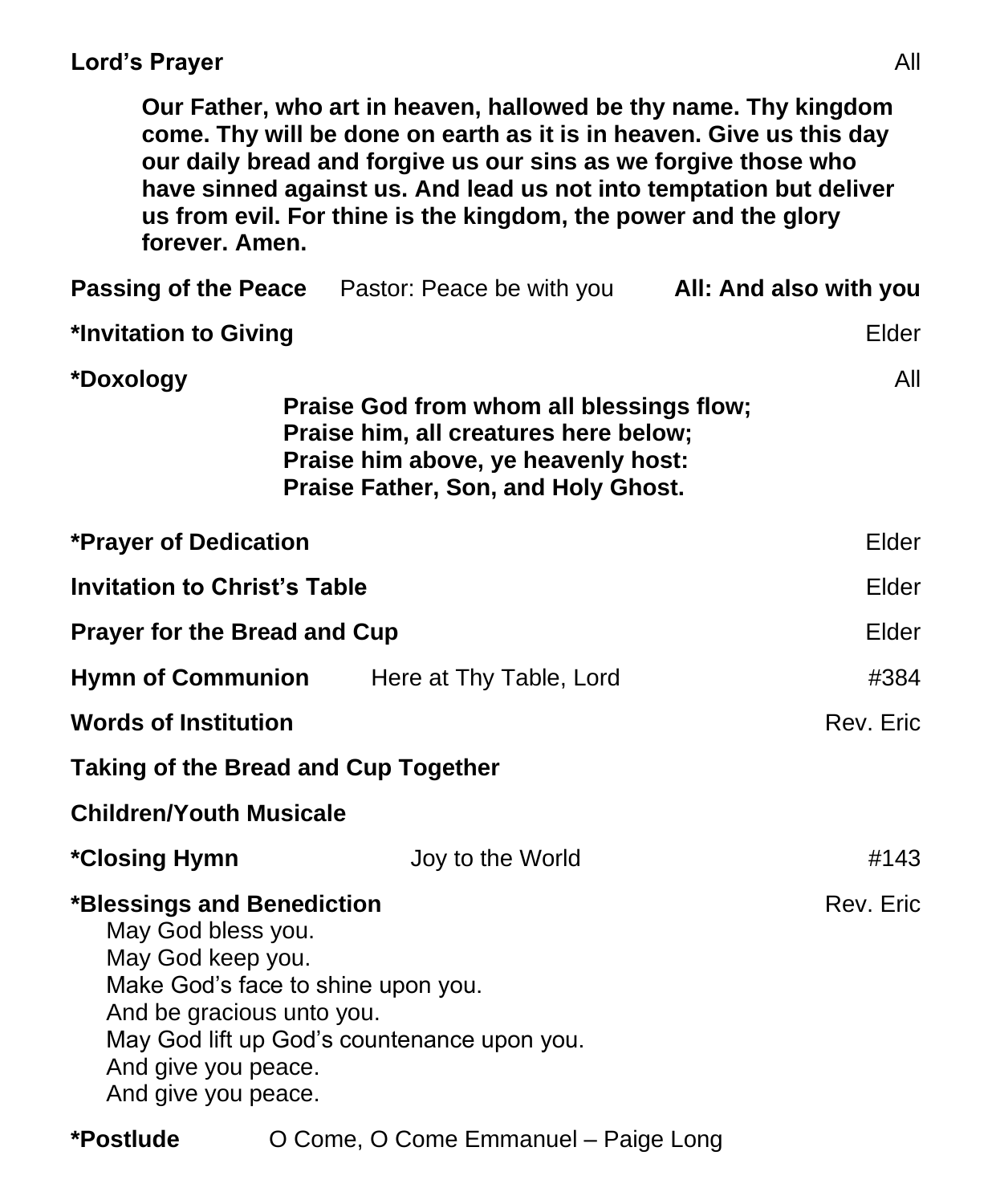#### **Lord's Prayer** All

**Our Father, who art in heaven, hallowed be thy name. Thy kingdom come. Thy will be done on earth as it is in heaven. Give us this day our daily bread and forgive us our sins as we forgive those who have sinned against us. And lead us not into temptation but deliver us from evil. For thine is the kingdom, the power and the glory forever. Amen.**

|                                                                                                                                                                                                                                                    | <b>Passing of the Peace</b> Pastor: Peace be with you <b>All: And also with you</b>                                                                             |           |  |  |  |
|----------------------------------------------------------------------------------------------------------------------------------------------------------------------------------------------------------------------------------------------------|-----------------------------------------------------------------------------------------------------------------------------------------------------------------|-----------|--|--|--|
| *Invitation to Giving                                                                                                                                                                                                                              |                                                                                                                                                                 | Elder     |  |  |  |
| *Doxology                                                                                                                                                                                                                                          | Praise God from whom all blessings flow;<br>Praise him, all creatures here below;<br>Praise him above, ye heavenly host:<br>Praise Father, Son, and Holy Ghost. | All       |  |  |  |
| <b>*Prayer of Dedication</b>                                                                                                                                                                                                                       |                                                                                                                                                                 | Elder     |  |  |  |
| <b>Invitation to Christ's Table</b>                                                                                                                                                                                                                |                                                                                                                                                                 | Elder     |  |  |  |
| <b>Prayer for the Bread and Cup</b>                                                                                                                                                                                                                |                                                                                                                                                                 | Elder     |  |  |  |
|                                                                                                                                                                                                                                                    | <b>Hymn of Communion</b> Here at Thy Table, Lord                                                                                                                | #384      |  |  |  |
| <b>Words of Institution</b>                                                                                                                                                                                                                        |                                                                                                                                                                 | Rev. Eric |  |  |  |
| <b>Taking of the Bread and Cup Together</b>                                                                                                                                                                                                        |                                                                                                                                                                 |           |  |  |  |
| <b>Children/Youth Musicale</b>                                                                                                                                                                                                                     |                                                                                                                                                                 |           |  |  |  |
| <i><b>*Closing Hymn</b></i>                                                                                                                                                                                                                        | Joy to the World                                                                                                                                                | #143      |  |  |  |
| Rev. Eric<br>*Blessings and Benediction<br>May God bless you.<br>May God keep you.<br>Make God's face to shine upon you.<br>And be gracious unto you.<br>May God lift up God's countenance upon you.<br>And give you peace.<br>And give you peace. |                                                                                                                                                                 |           |  |  |  |

**\*Postlude** O Come, O Come Emmanuel – Paige Long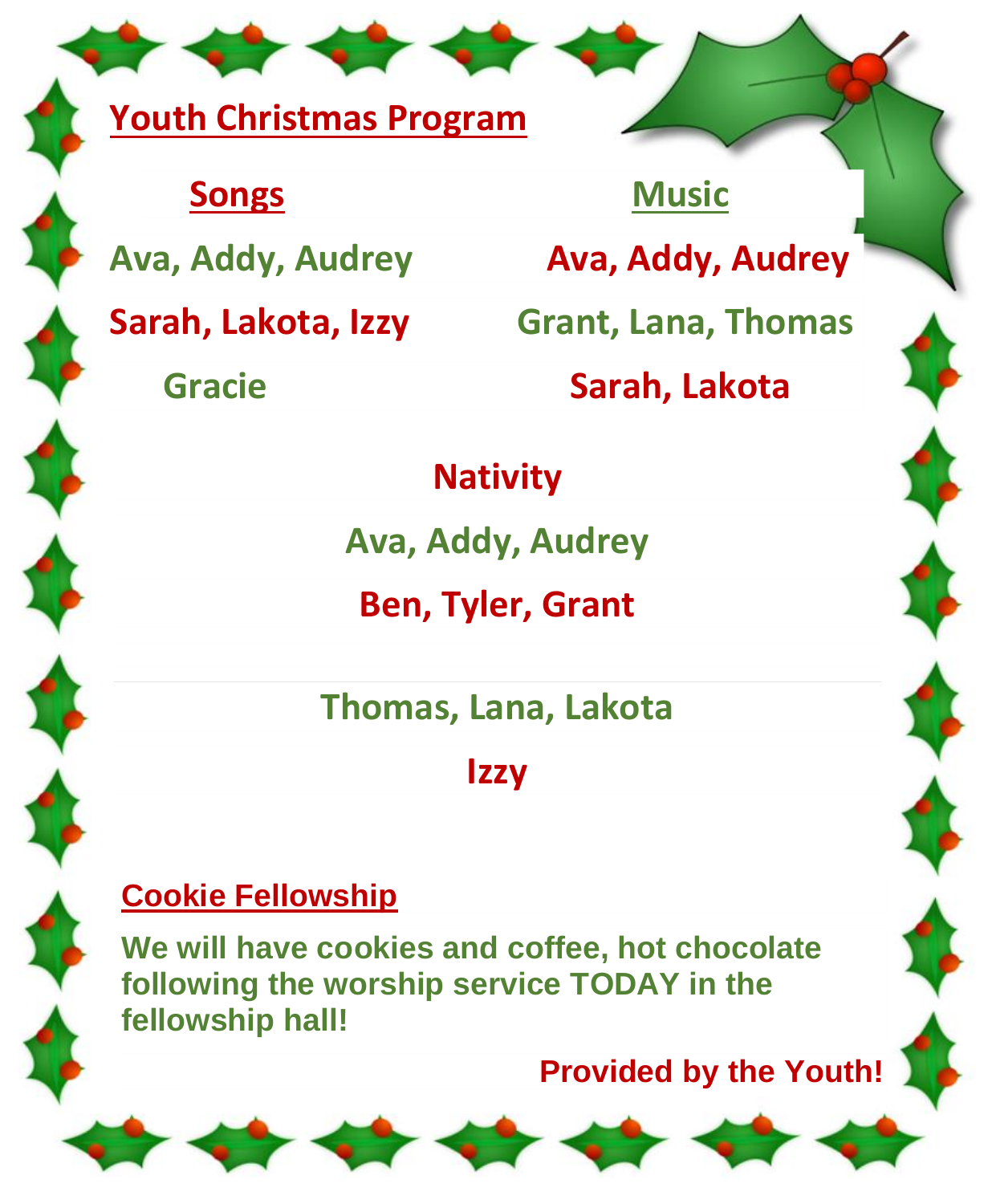## **Youth Christmas Program**

**Songs** Music

**Ava, Addy, Audrey Ava, Addy, Audrey**

**Sarah, Lakota, Izzy Grant, Lana, Thomas**

 **Gracie Sarah, Lakota**

## **Nativity**

**Ava, Addy, Audrey**

**Ben, Tyler, Grant**

**Thomas, Lana, Lakota**

**Izzy**

## **Cookie Fellowship**

**We will have cookies and coffee, hot chocolate following the worship service TODAY in the fellowship hall!**

**Provided by the Youth!**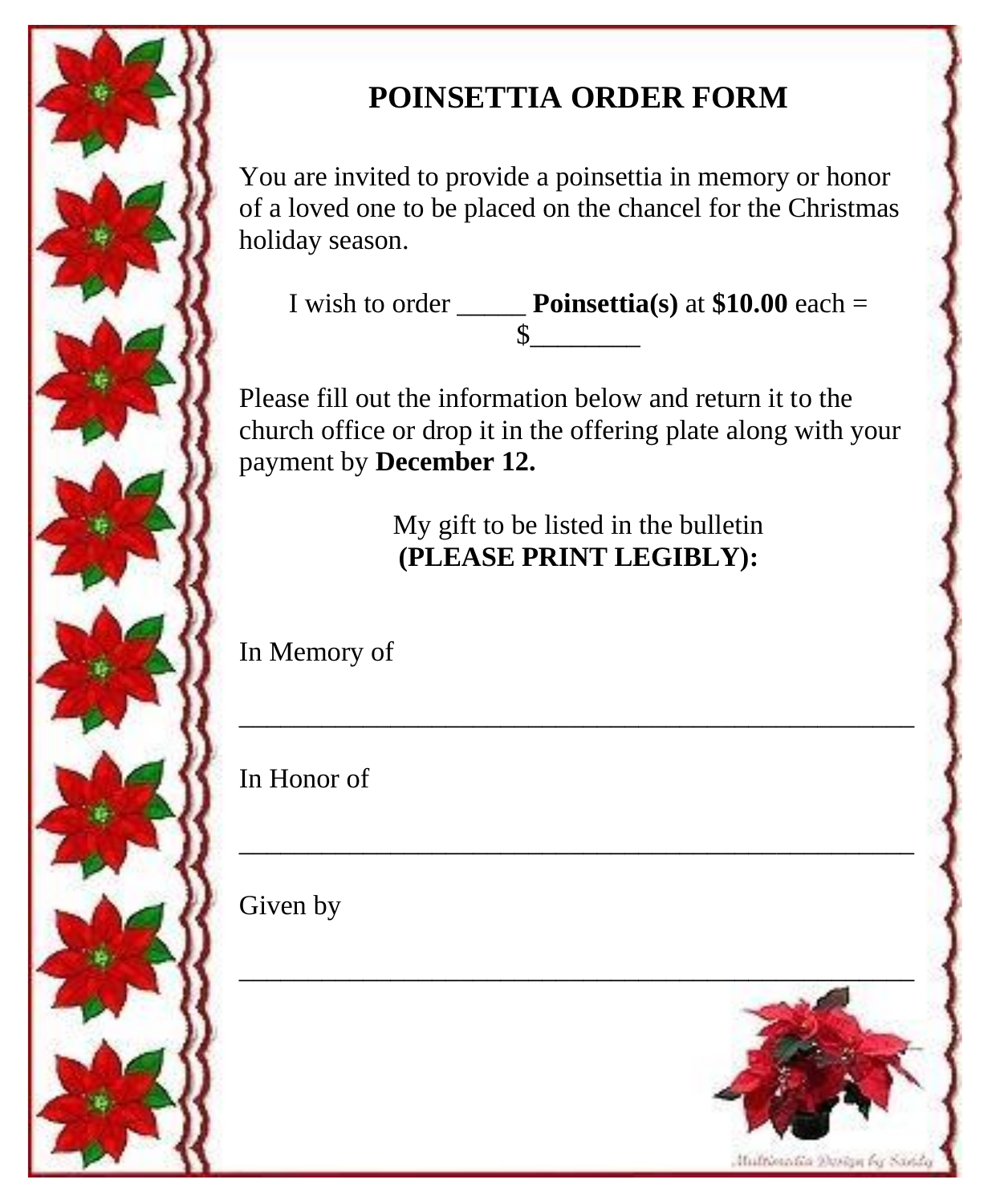

## **POINSETTIA ORDER FORM**

You are invited to provide a poinsettia in memory or honor of a loved one to be placed on the chancel for the Christmas holiday season.

I wish to order  $\_\_\_\_\$  **Poinsettia(s)** at \$10.00 each =  $\frac{1}{2}$ 

Please fill out the information below and return it to the church office or drop it in the offering plate along with your payment by **December 12.**

> My gift to be listed in the bulletin **(PLEASE PRINT LEGIBLY):**

\_\_\_\_\_\_\_\_\_\_\_\_\_\_\_\_\_\_\_\_\_\_\_\_\_\_\_\_\_\_\_\_\_\_\_\_\_\_\_\_\_\_\_\_\_\_\_\_\_

\_\_\_\_\_\_\_\_\_\_\_\_\_\_\_\_\_\_\_\_\_\_\_\_\_\_\_\_\_\_\_\_\_\_\_\_\_\_\_\_\_\_\_\_\_\_\_\_\_

In Memory of

In Honor of

Given by

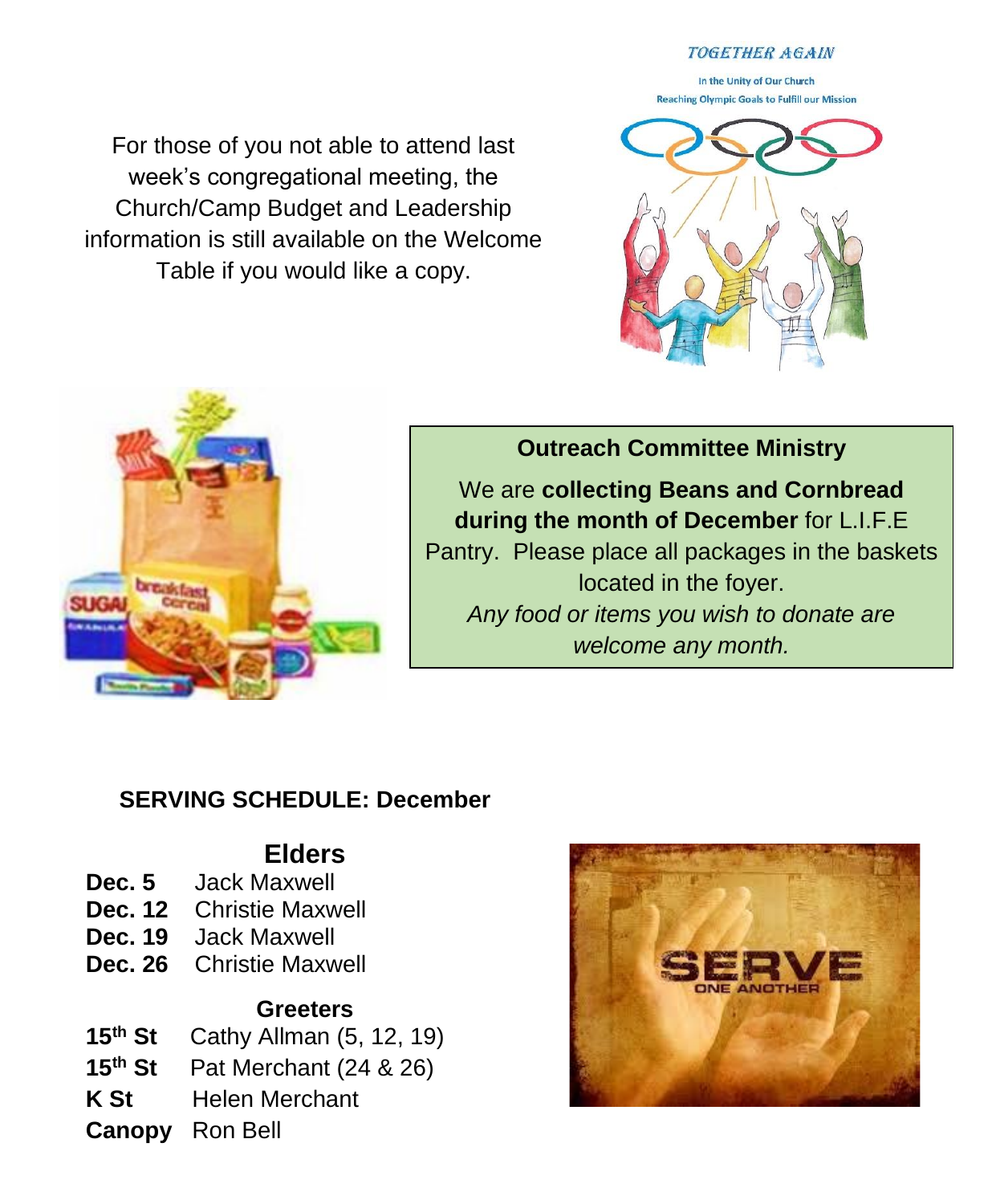#### **TOGETHER AGAIN**

In the Unity of Our Church **Reaching Olympic Goals to Fulfill our Mission** 

For those of you not able to attend last week's congregational meeting, the Church/Camp Budget and Leadership information is still available on the Welcome Table if you would like a copy.





**Outreach Committee Ministry**

We are **collecting Beans and Cornbread during the month of December** for L.I.F.E Pantry. Please place all packages in the baskets located in the foyer. *Any food or items you wish to donate are welcome any month.*

#### **SERVING SCHEDULE: December**

### **Elders**

- **Dec. 5** Jack Maxwell
- **Dec. 12** Christie Maxwell
- **Dec. 19** Jack Maxwell
- **Dec. 26** Christie Maxwell

#### **Greeters**

- **15th St** Cathy Allman (5, 12, 19)
- **15th St** Pat Merchant (24 & 26)
- **K St Helen Merchant**
- **Canopy** Ron Bell